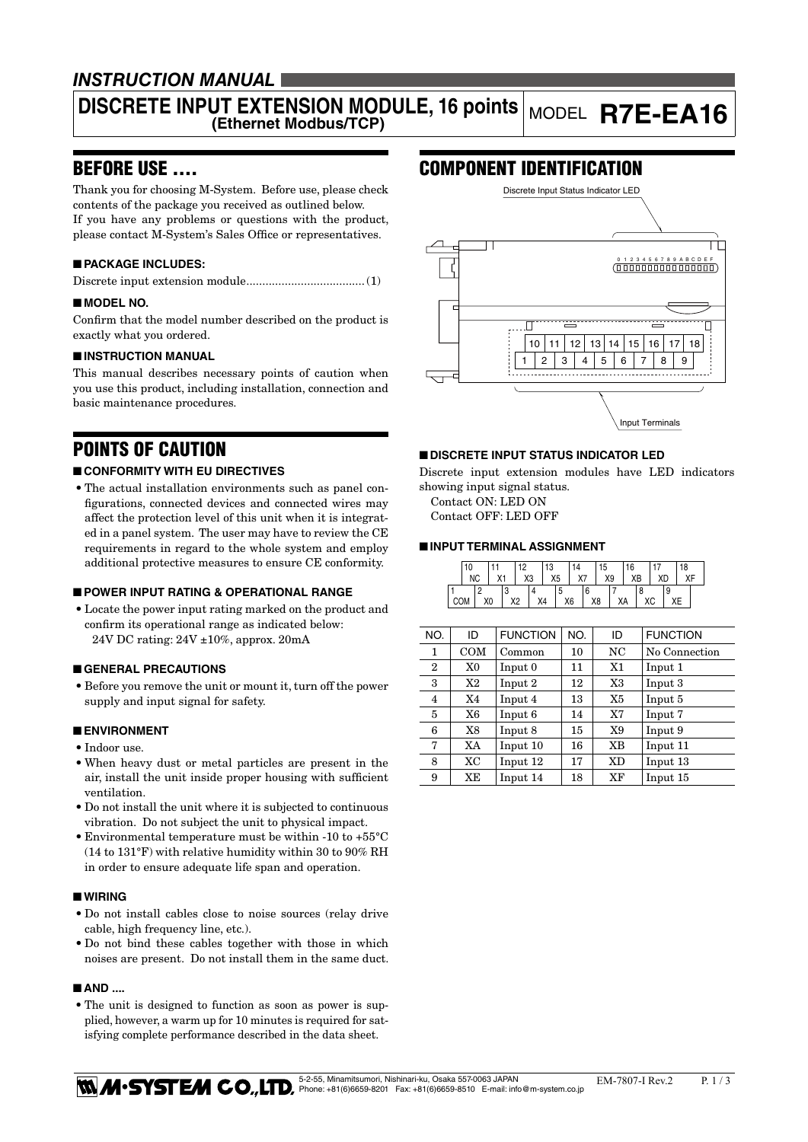## *INSTRUCTION MANUAL*

# **DISCRETE INPUT EXTENSION MODULE, 16 points** MODEL **R7E-EA16**

## BEFORE USE ....

Thank you for choosing M-System. Before use, please check contents of the package you received as outlined below. If you have any problems or questions with the product, please contact M-System's Sales Office or representatives.

### ■ **PACKAGE INCLUDES:**

Discrete input extension module.....................................(1)

#### ■ **MODEL NO.**

Confirm that the model number described on the product is exactly what you ordered.

### ■ **INSTRUCTION MANUAL**

This manual describes necessary points of caution when you use this product, including installation, connection and basic maintenance procedures.

## POINTS OF CAUTION

#### ■ **CONFORMITY WITH EU DIRECTIVES**

• The actual installation environments such as panel configurations, connected devices and connected wires may affect the protection level of this unit when it is integrated in a panel system. The user may have to review the CE requirements in regard to the whole system and employ additional protective measures to ensure CE conformity.

#### ■ **POWER INPUT RATING & OPERATIONAL RANGE**

• Locate the power input rating marked on the product and confirm its operational range as indicated below: 24V DC rating: 24V ±10%, approx. 20mA

#### ■ **GENERAL PRECAUTIONS**

• Before you remove the unit or mount it, turn off the power supply and input signal for safety.

#### ■ **ENVIRONMENT**

- Indoor use.
- • When heavy dust or metal particles are present in the air, install the unit inside proper housing with sufficient ventilation.
- • Do not install the unit where it is subjected to continuous vibration. Do not subject the unit to physical impact.
- Environmental temperature must be within -10 to +55 $^{\circ}$ C (14 to 131°F) with relative humidity within 30 to 90% RH in order to ensure adequate life span and operation.

#### ■ **WIRING**

- • Do not install cables close to noise sources (relay drive cable, high frequency line, etc.).
- Do not bind these cables together with those in which noises are present. Do not install them in the same duct.

#### ■ **AND** ...

• The unit is designed to function as soon as power is supplied, however, a warm up for 10 minutes is required for satisfying complete performance described in the data sheet.

## COMPONENT IDENTIFICATION



#### ■ **DISCRETE INPUT STATUS INDICATOR LED**

Discrete input extension modules have LED indicators showing input signal status.

Contact ON: LED ON Contact OFF: LED OFF

#### ■ **INPUT TERMINAL ASSIGNMENT**

|            | 10        |  |    |  | 12<br>. . |    | 13             |   | 14 |   | 15 |    | 16 |    |  |    | 18 |  |
|------------|-----------|--|----|--|-----------|----|----------------|---|----|---|----|----|----|----|--|----|----|--|
|            | <b>NC</b> |  | X1 |  |           | X3 | X <sub>5</sub> |   | X7 |   |    | X9 | XB |    |  | XD | VĽ |  |
|            |           |  |    |  |           |    |                | C |    | ь |    |    |    |    |  | 9  |    |  |
| <b>COM</b> |           |  | X0 |  | X2        |    | X4             |   | X6 |   | X8 |    | XА | ХC |  |    |    |  |

| NO.            | ID  | <b>FUNCTION</b> | NO. | ID        | <b>FUNCTION</b> |
|----------------|-----|-----------------|-----|-----------|-----------------|
| 1              | COM | Common          | 10  | NC        | No Connection   |
| $\overline{2}$ | X0  | Input 0         | 11  | X1        | Input 1         |
| 3              | X2  | Input 2         | 12  | X3        | Input 3         |
| 4              | X4  | Input 4         | 13  | X5        | Input 5         |
| 5              | X6  | Input 6         | 14  | X7        | Input 7         |
| 6              | X8  | Input 8         | 15  | X9        | Input 9         |
| 7              | XA  | Input 10        | 16  | XВ        | Input 11        |
| 8              | XC  | Input 12        | 17  | <b>XD</b> | Input 13        |
| 9              | XE  | Input 14        | 18  | XF        | Input 15        |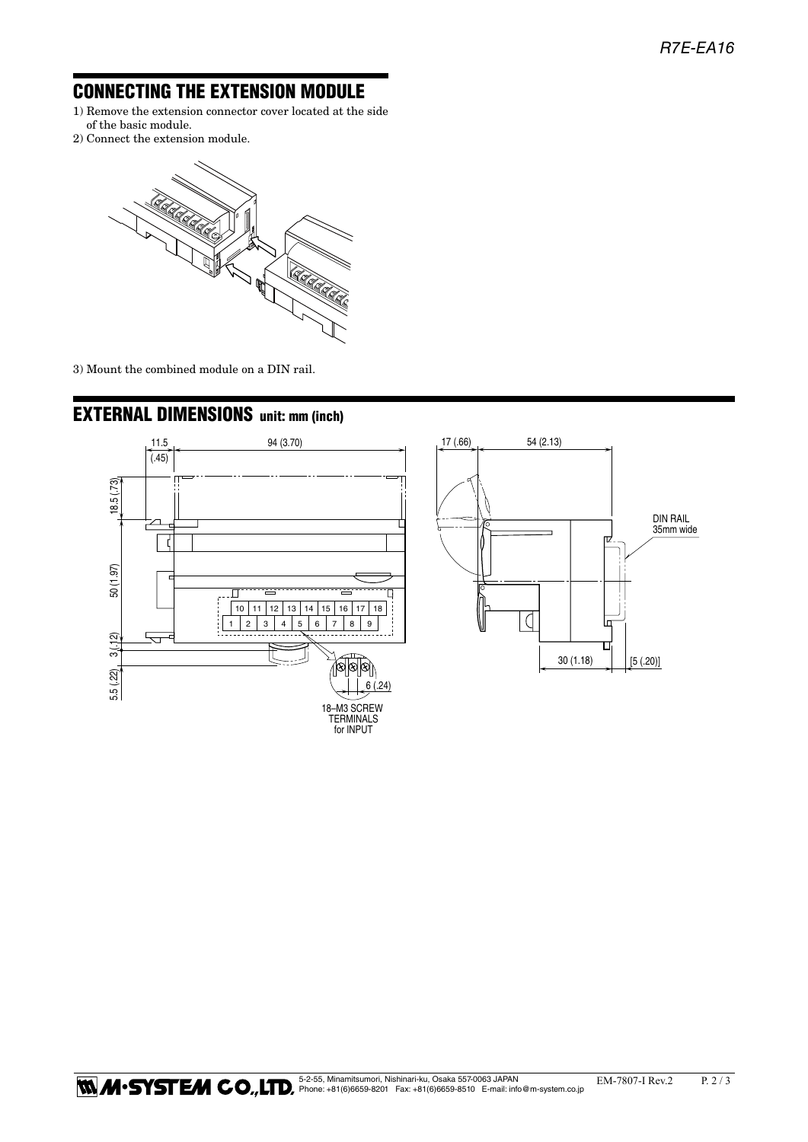## CONNECTING THE EXTENSION MODULE

- 1) Remove the extension connector cover located at the side of the basic module.
- 2) Connect the extension module.



3) Mount the combined module on a DIN rail.



## EXTERNAL DIMENSIONS unit: mm (inch)